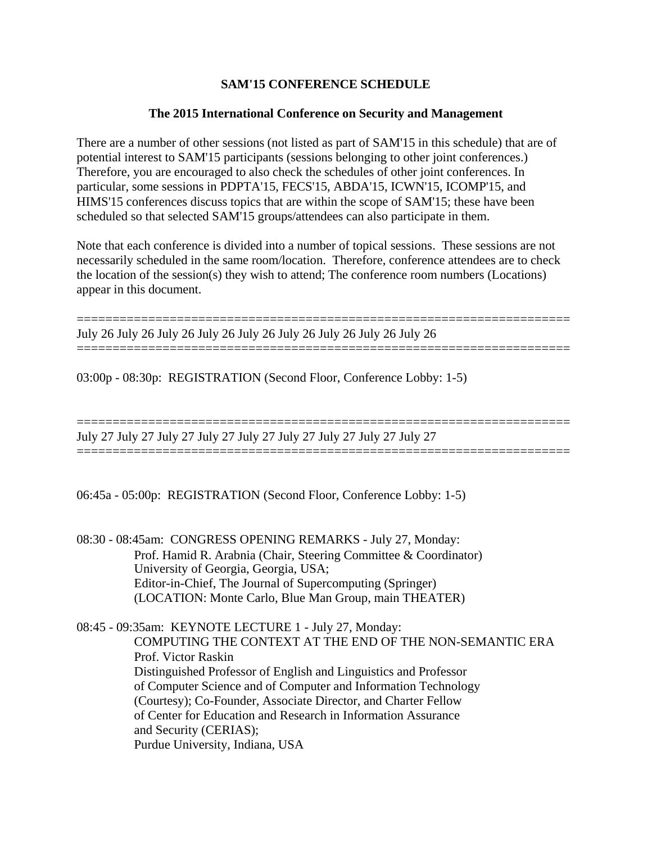# **SAM'15 CONFERENCE SCHEDULE**

## **The 2015 International Conference on Security and Management**

There are a number of other sessions (not listed as part of SAM'15 in this schedule) that are of potential interest to SAM'15 participants (sessions belonging to other joint conferences.) Therefore, you are encouraged to also check the schedules of other joint conferences. In particular, some sessions in PDPTA'15, FECS'15, ABDA'15, ICWN'15, ICOMP'15, and HIMS'15 conferences discuss topics that are within the scope of SAM'15; these have been scheduled so that selected SAM'15 groups/attendees can also participate in them.

Note that each conference is divided into a number of topical sessions. These sessions are not necessarily scheduled in the same room/location. Therefore, conference attendees are to check the location of the session(s) they wish to attend; The conference room numbers (Locations) appear in this document.

=====================================================================

=====================================================================

===================================================================== July 26 July 26 July 26 July 26 July 26 July 26 July 26 July 26 July 26

03:00p - 08:30p: REGISTRATION (Second Floor, Conference Lobby: 1-5)

===================================================================== July 27 July 27 July 27 July 27 July 27 July 27 July 27 July 27 July 27

06:45a - 05:00p: REGISTRATION (Second Floor, Conference Lobby: 1-5)

08:30 - 08:45am: CONGRESS OPENING REMARKS - July 27, Monday: Prof. Hamid R. Arabnia (Chair, Steering Committee & Coordinator) University of Georgia, Georgia, USA; Editor-in-Chief, The Journal of Supercomputing (Springer) (LOCATION: Monte Carlo, Blue Man Group, main THEATER)

08:45 - 09:35am: KEYNOTE LECTURE 1 - July 27, Monday: COMPUTING THE CONTEXT AT THE END OF THE NON-SEMANTIC ERA Prof. Victor Raskin Distinguished Professor of English and Linguistics and Professor of Computer Science and of Computer and Information Technology (Courtesy); Co-Founder, Associate Director, and Charter Fellow of Center for Education and Research in Information Assurance and Security (CERIAS); Purdue University, Indiana, USA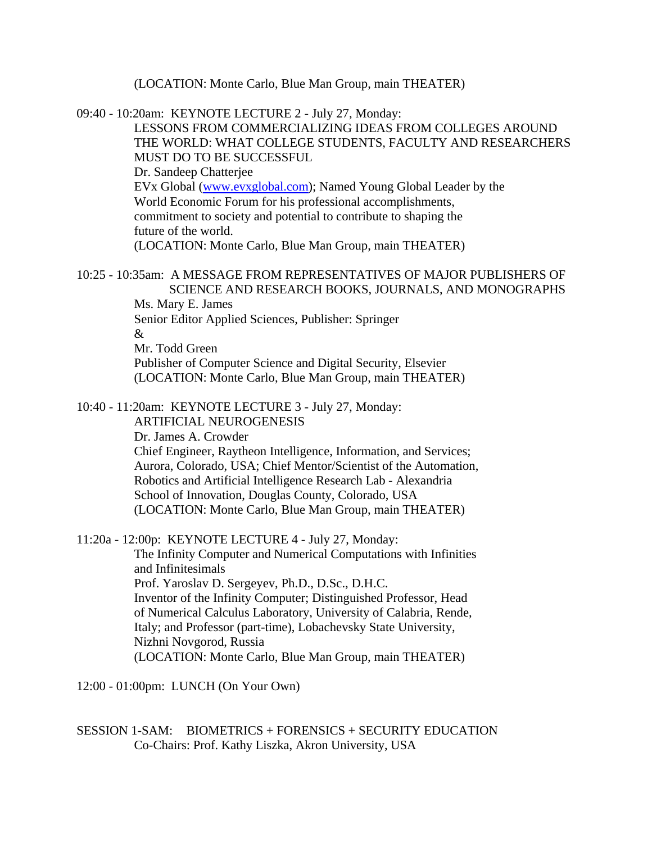(LOCATION: Monte Carlo, Blue Man Group, main THEATER)

09:40 - 10:20am: KEYNOTE LECTURE 2 - July 27, Monday: LESSONS FROM COMMERCIALIZING IDEAS FROM COLLEGES AROUND THE WORLD: WHAT COLLEGE STUDENTS, FACULTY AND RESEARCHERS MUST DO TO BE SUCCESSFUL Dr. Sandeep Chatterjee EVx Global (www.evxglobal.com); Named Young Global Leader by the World Economic Forum for his professional accomplishments, commitment to society and potential to contribute to shaping the future of the world. (LOCATION: Monte Carlo, Blue Man Group, main THEATER)

10:25 - 10:35am: A MESSAGE FROM REPRESENTATIVES OF MAJOR PUBLISHERS OF SCIENCE AND RESEARCH BOOKS, JOURNALS, AND MONOGRAPHS Ms. Mary E. James

Senior Editor Applied Sciences, Publisher: Springer

&

Mr. Todd Green

Publisher of Computer Science and Digital Security, Elsevier (LOCATION: Monte Carlo, Blue Man Group, main THEATER)

10:40 - 11:20am: KEYNOTE LECTURE 3 - July 27, Monday:

ARTIFICIAL NEUROGENESIS Dr. James A. Crowder Chief Engineer, Raytheon Intelligence, Information, and Services; Aurora, Colorado, USA; Chief Mentor/Scientist of the Automation, Robotics and Artificial Intelligence Research Lab - Alexandria School of Innovation, Douglas County, Colorado, USA (LOCATION: Monte Carlo, Blue Man Group, main THEATER)

11:20a - 12:00p: KEYNOTE LECTURE 4 - July 27, Monday: The Infinity Computer and Numerical Computations with Infinities and Infinitesimals Prof. Yaroslav D. Sergeyev, Ph.D., D.Sc., D.H.C. Inventor of the Infinity Computer; Distinguished Professor, Head of Numerical Calculus Laboratory, University of Calabria, Rende, Italy; and Professor (part-time), Lobachevsky State University, Nizhni Novgorod, Russia (LOCATION: Monte Carlo, Blue Man Group, main THEATER)

12:00 - 01:00pm: LUNCH (On Your Own)

SESSION 1-SAM: BIOMETRICS + FORENSICS + SECURITY EDUCATION Co-Chairs: Prof. Kathy Liszka, Akron University, USA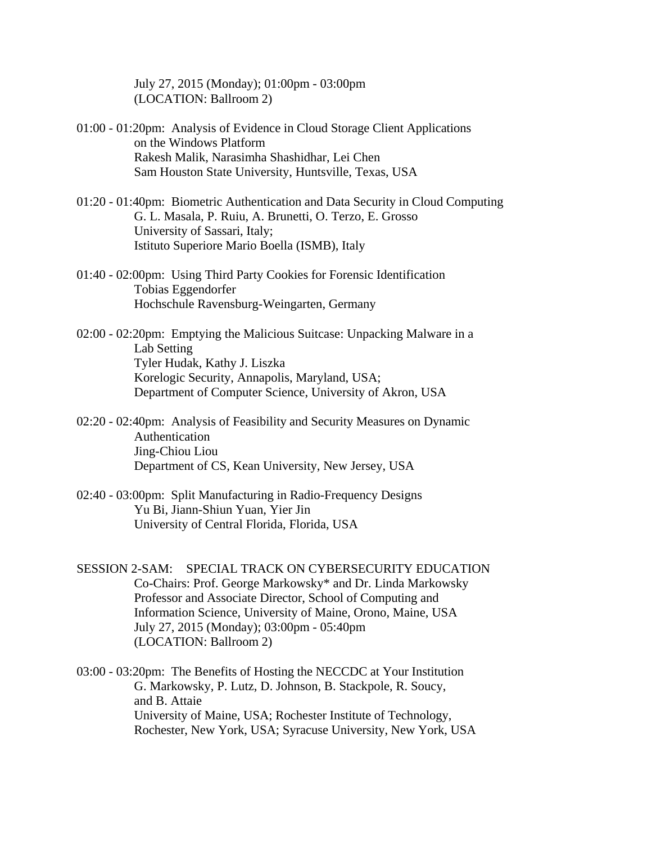July 27, 2015 (Monday); 01:00pm - 03:00pm (LOCATION: Ballroom 2)

- 01:00 01:20pm: Analysis of Evidence in Cloud Storage Client Applications on the Windows Platform Rakesh Malik, Narasimha Shashidhar, Lei Chen Sam Houston State University, Huntsville, Texas, USA
- 01:20 01:40pm: Biometric Authentication and Data Security in Cloud Computing G. L. Masala, P. Ruiu, A. Brunetti, O. Terzo, E. Grosso University of Sassari, Italy; Istituto Superiore Mario Boella (ISMB), Italy
- 01:40 02:00pm: Using Third Party Cookies for Forensic Identification Tobias Eggendorfer Hochschule Ravensburg-Weingarten, Germany
- 02:00 02:20pm: Emptying the Malicious Suitcase: Unpacking Malware in a Lab Setting Tyler Hudak, Kathy J. Liszka Korelogic Security, Annapolis, Maryland, USA; Department of Computer Science, University of Akron, USA
- 02:20 02:40pm: Analysis of Feasibility and Security Measures on Dynamic Authentication Jing-Chiou Liou Department of CS, Kean University, New Jersey, USA
- 02:40 03:00pm: Split Manufacturing in Radio-Frequency Designs Yu Bi, Jiann-Shiun Yuan, Yier Jin University of Central Florida, Florida, USA
- SESSION 2-SAM: SPECIAL TRACK ON CYBERSECURITY EDUCATION Co-Chairs: Prof. George Markowsky\* and Dr. Linda Markowsky Professor and Associate Director, School of Computing and Information Science, University of Maine, Orono, Maine, USA July 27, 2015 (Monday); 03:00pm - 05:40pm (LOCATION: Ballroom 2)
- 03:00 03:20pm: The Benefits of Hosting the NECCDC at Your Institution G. Markowsky, P. Lutz, D. Johnson, B. Stackpole, R. Soucy, and B. Attaie University of Maine, USA; Rochester Institute of Technology, Rochester, New York, USA; Syracuse University, New York, USA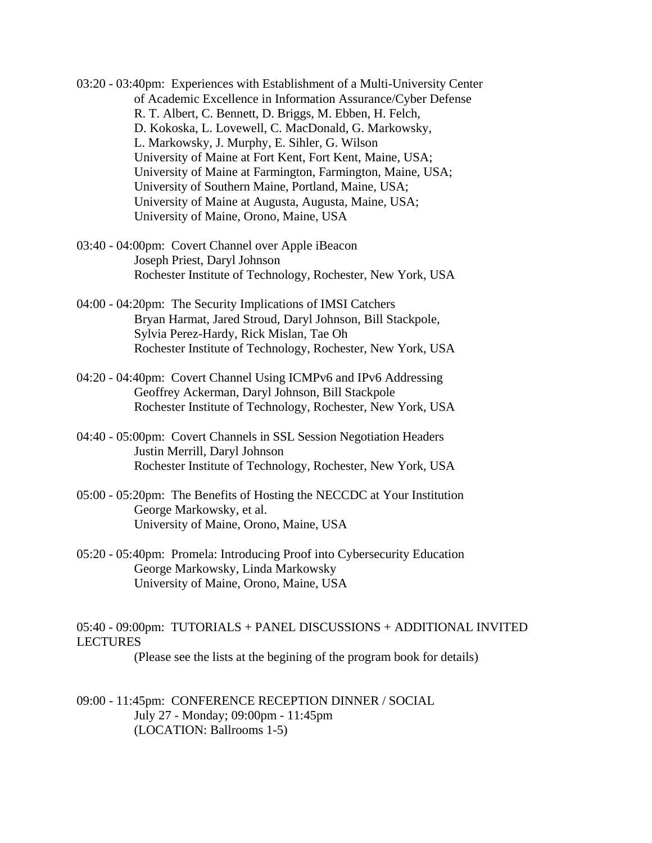- 03:20 03:40pm: Experiences with Establishment of a Multi-University Center of Academic Excellence in Information Assurance/Cyber Defense R. T. Albert, C. Bennett, D. Briggs, M. Ebben, H. Felch, D. Kokoska, L. Lovewell, C. MacDonald, G. Markowsky, L. Markowsky, J. Murphy, E. Sihler, G. Wilson University of Maine at Fort Kent, Fort Kent, Maine, USA; University of Maine at Farmington, Farmington, Maine, USA; University of Southern Maine, Portland, Maine, USA; University of Maine at Augusta, Augusta, Maine, USA; University of Maine, Orono, Maine, USA
- 03:40 04:00pm: Covert Channel over Apple iBeacon Joseph Priest, Daryl Johnson Rochester Institute of Technology, Rochester, New York, USA
- 04:00 04:20pm: The Security Implications of IMSI Catchers Bryan Harmat, Jared Stroud, Daryl Johnson, Bill Stackpole, Sylvia Perez-Hardy, Rick Mislan, Tae Oh Rochester Institute of Technology, Rochester, New York, USA
- 04:20 04:40pm: Covert Channel Using ICMPv6 and IPv6 Addressing Geoffrey Ackerman, Daryl Johnson, Bill Stackpole Rochester Institute of Technology, Rochester, New York, USA
- 04:40 05:00pm: Covert Channels in SSL Session Negotiation Headers Justin Merrill, Daryl Johnson Rochester Institute of Technology, Rochester, New York, USA
- 05:00 05:20pm: The Benefits of Hosting the NECCDC at Your Institution George Markowsky, et al. University of Maine, Orono, Maine, USA
- 05:20 05:40pm: Promela: Introducing Proof into Cybersecurity Education George Markowsky, Linda Markowsky University of Maine, Orono, Maine, USA

05:40 - 09:00pm: TUTORIALS + PANEL DISCUSSIONS + ADDITIONAL INVITED LECTURES

(Please see the lists at the begining of the program book for details)

09:00 - 11:45pm: CONFERENCE RECEPTION DINNER / SOCIAL July 27 - Monday; 09:00pm - 11:45pm (LOCATION: Ballrooms 1-5)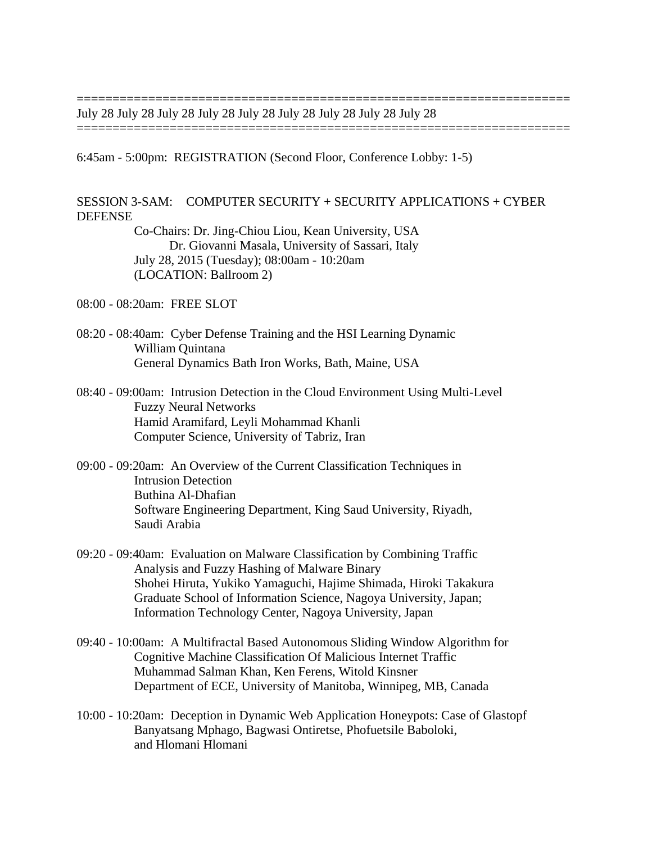July 28 July 28 July 28 July 28 July 28 July 28 July 28 July 28 July 28

6:45am - 5:00pm: REGISTRATION (Second Floor, Conference Lobby: 1-5)

SESSION 3-SAM: COMPUTER SECURITY + SECURITY APPLICATIONS + CYBER DEFENSE

=====================================================================

=====================================================================

Co-Chairs: Dr. Jing-Chiou Liou, Kean University, USA Dr. Giovanni Masala, University of Sassari, Italy July 28, 2015 (Tuesday); 08:00am - 10:20am (LOCATION: Ballroom 2)

08:00 - 08:20am: FREE SLOT

- 08:20 08:40am: Cyber Defense Training and the HSI Learning Dynamic William Quintana General Dynamics Bath Iron Works, Bath, Maine, USA
- 08:40 09:00am: Intrusion Detection in the Cloud Environment Using Multi-Level Fuzzy Neural Networks Hamid Aramifard, Leyli Mohammad Khanli Computer Science, University of Tabriz, Iran
- 09:00 09:20am: An Overview of the Current Classification Techniques in Intrusion Detection Buthina Al-Dhafian Software Engineering Department, King Saud University, Riyadh, Saudi Arabia
- 09:20 09:40am: Evaluation on Malware Classification by Combining Traffic Analysis and Fuzzy Hashing of Malware Binary Shohei Hiruta, Yukiko Yamaguchi, Hajime Shimada, Hiroki Takakura Graduate School of Information Science, Nagoya University, Japan; Information Technology Center, Nagoya University, Japan
- 09:40 10:00am: A Multifractal Based Autonomous Sliding Window Algorithm for Cognitive Machine Classification Of Malicious Internet Traffic Muhammad Salman Khan, Ken Ferens, Witold Kinsner Department of ECE, University of Manitoba, Winnipeg, MB, Canada
- 10:00 10:20am: Deception in Dynamic Web Application Honeypots: Case of Glastopf Banyatsang Mphago, Bagwasi Ontiretse, Phofuetsile Baboloki, and Hlomani Hlomani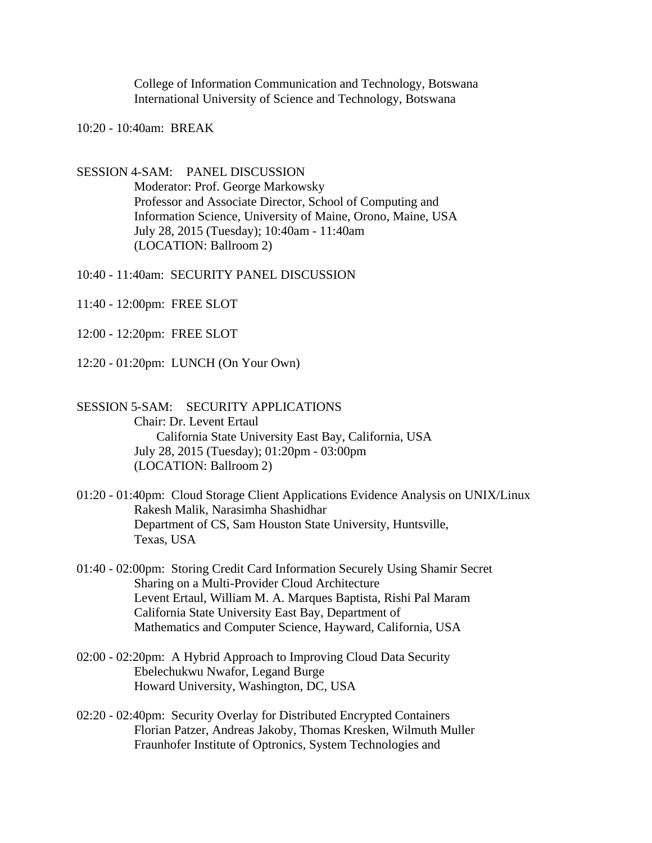College of Information Communication and Technology, Botswana International University of Science and Technology, Botswana

10:20 - 10:40am: BREAK

SESSION 4-SAM: PANEL DISCUSSION Moderator: Prof. George Markowsky Professor and Associate Director, School of Computing and Information Science, University of Maine, Orono, Maine, USA July 28, 2015 (Tuesday); 10:40am - 11:40am (LOCATION: Ballroom 2)

10:40 - 11:40am: SECURITY PANEL DISCUSSION

- 11:40 12:00pm: FREE SLOT
- 12:00 12:20pm: FREE SLOT
- 12:20 01:20pm: LUNCH (On Your Own)

# SESSION 5-SAM: SECURITY APPLICATIONS Chair: Dr. Levent Ertaul California State University East Bay, California, USA July 28, 2015 (Tuesday); 01:20pm - 03:00pm (LOCATION: Ballroom 2)

- 01:20 01:40pm: Cloud Storage Client Applications Evidence Analysis on UNIX/Linux Rakesh Malik, Narasimha Shashidhar Department of CS, Sam Houston State University, Huntsville, Texas, USA
- 01:40 02:00pm: Storing Credit Card Information Securely Using Shamir Secret Sharing on a Multi-Provider Cloud Architecture Levent Ertaul, William M. A. Marques Baptista, Rishi Pal Maram California State University East Bay, Department of Mathematics and Computer Science, Hayward, California, USA
- 02:00 02:20pm: A Hybrid Approach to Improving Cloud Data Security Ebelechukwu Nwafor, Legand Burge Howard University, Washington, DC, USA
- 02:20 02:40pm: Security Overlay for Distributed Encrypted Containers Florian Patzer, Andreas Jakoby, Thomas Kresken, Wilmuth Muller Fraunhofer Institute of Optronics, System Technologies and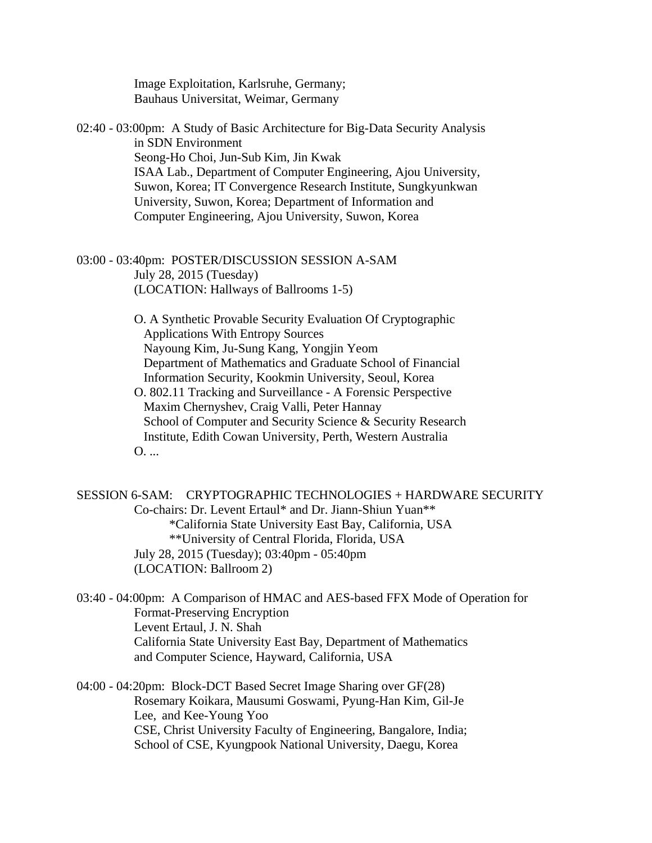Image Exploitation, Karlsruhe, Germany; Bauhaus Universitat, Weimar, Germany

02:40 - 03:00pm: A Study of Basic Architecture for Big-Data Security Analysis in SDN Environment Seong-Ho Choi, Jun-Sub Kim, Jin Kwak ISAA Lab., Department of Computer Engineering, Ajou University, Suwon, Korea; IT Convergence Research Institute, Sungkyunkwan University, Suwon, Korea; Department of Information and Computer Engineering, Ajou University, Suwon, Korea

03:00 - 03:40pm: POSTER/DISCUSSION SESSION A-SAM July 28, 2015 (Tuesday) (LOCATION: Hallways of Ballrooms 1-5)

> O. A Synthetic Provable Security Evaluation Of Cryptographic Applications With Entropy Sources Nayoung Kim, Ju-Sung Kang, Yongjin Yeom Department of Mathematics and Graduate School of Financial Information Security, Kookmin University, Seoul, Korea O. 802.11 Tracking and Surveillance - A Forensic Perspective Maxim Chernyshev, Craig Valli, Peter Hannay School of Computer and Security Science & Security Research

Institute, Edith Cowan University, Perth, Western Australia O. ...

SESSION 6-SAM: CRYPTOGRAPHIC TECHNOLOGIES + HARDWARE SECURITY Co-chairs: Dr. Levent Ertaul\* and Dr. Jiann-Shiun Yuan\*\* \*California State University East Bay, California, USA \*\*University of Central Florida, Florida, USA July 28, 2015 (Tuesday); 03:40pm - 05:40pm (LOCATION: Ballroom 2)

03:40 - 04:00pm: A Comparison of HMAC and AES-based FFX Mode of Operation for Format-Preserving Encryption Levent Ertaul, J. N. Shah California State University East Bay, Department of Mathematics and Computer Science, Hayward, California, USA

04:00 - 04:20pm: Block-DCT Based Secret Image Sharing over GF(28) Rosemary Koikara, Mausumi Goswami, Pyung-Han Kim, Gil-Je Lee, and Kee-Young Yoo CSE, Christ University Faculty of Engineering, Bangalore, India; School of CSE, Kyungpook National University, Daegu, Korea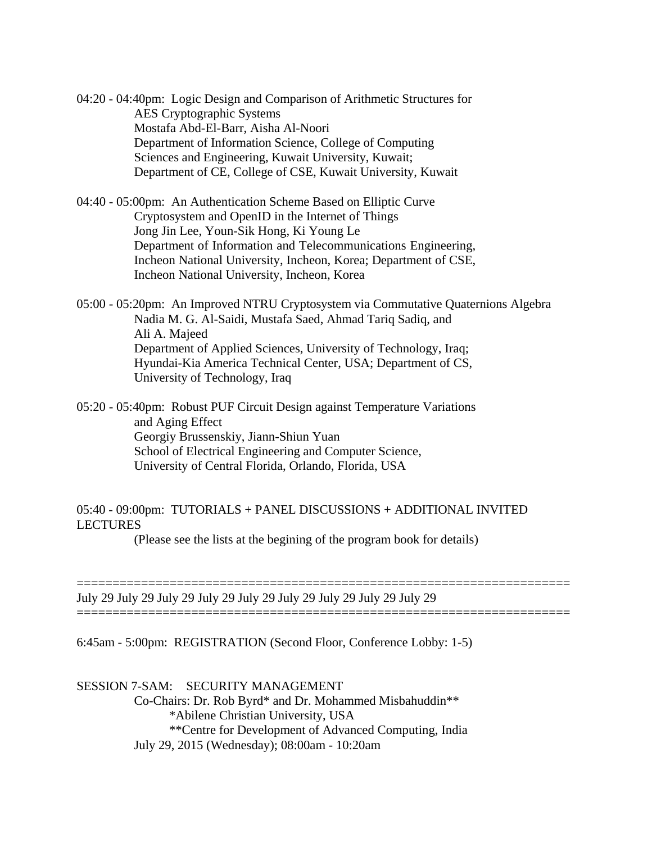04:20 - 04:40pm: Logic Design and Comparison of Arithmetic Structures for AES Cryptographic Systems Mostafa Abd-El-Barr, Aisha Al-Noori Department of Information Science, College of Computing Sciences and Engineering, Kuwait University, Kuwait; Department of CE, College of CSE, Kuwait University, Kuwait

04:40 - 05:00pm: An Authentication Scheme Based on Elliptic Curve Cryptosystem and OpenID in the Internet of Things Jong Jin Lee, Youn-Sik Hong, Ki Young Le Department of Information and Telecommunications Engineering, Incheon National University, Incheon, Korea; Department of CSE, Incheon National University, Incheon, Korea

05:00 - 05:20pm: An Improved NTRU Cryptosystem via Commutative Quaternions Algebra Nadia M. G. Al-Saidi, Mustafa Saed, Ahmad Tariq Sadiq, and Ali A. Majeed Department of Applied Sciences, University of Technology, Iraq; Hyundai-Kia America Technical Center, USA; Department of CS, University of Technology, Iraq

05:20 - 05:40pm: Robust PUF Circuit Design against Temperature Variations and Aging Effect Georgiy Brussenskiy, Jiann-Shiun Yuan School of Electrical Engineering and Computer Science, University of Central Florida, Orlando, Florida, USA

#### 05:40 - 09:00pm: TUTORIALS + PANEL DISCUSSIONS + ADDITIONAL INVITED LECTURES

(Please see the lists at the begining of the program book for details)

=====================================================================

=====================================================================

July 29 July 29 July 29 July 29 July 29 July 29 July 29 July 29 July 29

6:45am - 5:00pm: REGISTRATION (Second Floor, Conference Lobby: 1-5)

## SESSION 7-SAM: SECURITY MANAGEMENT

Co-Chairs: Dr. Rob Byrd\* and Dr. Mohammed Misbahuddin\*\* \*Abilene Christian University, USA \*\*Centre for Development of Advanced Computing, India July 29, 2015 (Wednesday); 08:00am - 10:20am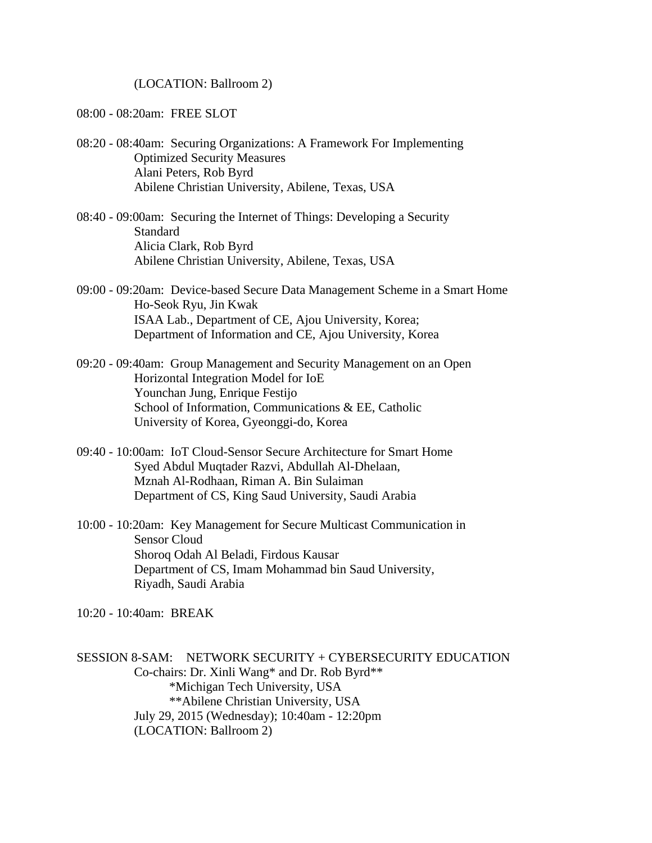(LOCATION: Ballroom 2)

08:00 - 08:20am: FREE SLOT

- 08:20 08:40am: Securing Organizations: A Framework For Implementing Optimized Security Measures Alani Peters, Rob Byrd Abilene Christian University, Abilene, Texas, USA
- 08:40 09:00am: Securing the Internet of Things: Developing a Security **Standard** Alicia Clark, Rob Byrd Abilene Christian University, Abilene, Texas, USA
- 09:00 09:20am: Device-based Secure Data Management Scheme in a Smart Home Ho-Seok Ryu, Jin Kwak ISAA Lab., Department of CE, Ajou University, Korea; Department of Information and CE, Ajou University, Korea
- 09:20 09:40am: Group Management and Security Management on an Open Horizontal Integration Model for IoE Younchan Jung, Enrique Festijo School of Information, Communications & EE, Catholic University of Korea, Gyeonggi-do, Korea
- 09:40 10:00am: IoT Cloud-Sensor Secure Architecture for Smart Home Syed Abdul Muqtader Razvi, Abdullah Al-Dhelaan, Mznah Al-Rodhaan, Riman A. Bin Sulaiman Department of CS, King Saud University, Saudi Arabia
- 10:00 10:20am: Key Management for Secure Multicast Communication in Sensor Cloud Shoroq Odah Al Beladi, Firdous Kausar Department of CS, Imam Mohammad bin Saud University, Riyadh, Saudi Arabia

10:20 - 10:40am: BREAK

SESSION 8-SAM: NETWORK SECURITY + CYBERSECURITY EDUCATION Co-chairs: Dr. Xinli Wang\* and Dr. Rob Byrd\*\* \*Michigan Tech University, USA \*\*Abilene Christian University, USA July 29, 2015 (Wednesday); 10:40am - 12:20pm (LOCATION: Ballroom 2)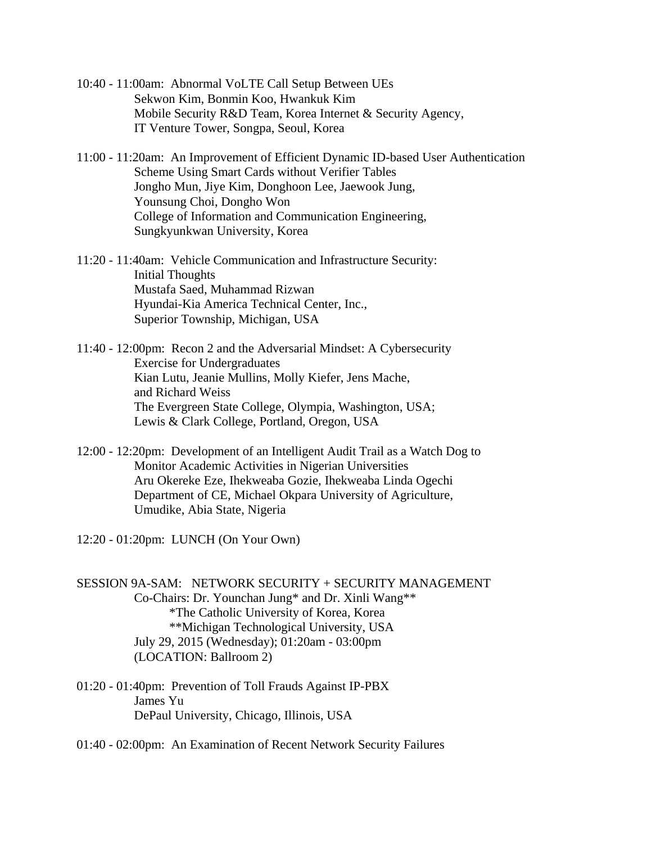- 10:40 11:00am: Abnormal VoLTE Call Setup Between UEs Sekwon Kim, Bonmin Koo, Hwankuk Kim Mobile Security R&D Team, Korea Internet & Security Agency, IT Venture Tower, Songpa, Seoul, Korea
- 11:00 11:20am: An Improvement of Efficient Dynamic ID-based User Authentication Scheme Using Smart Cards without Verifier Tables Jongho Mun, Jiye Kim, Donghoon Lee, Jaewook Jung, Younsung Choi, Dongho Won College of Information and Communication Engineering, Sungkyunkwan University, Korea
- 11:20 11:40am: Vehicle Communication and Infrastructure Security: Initial Thoughts Mustafa Saed, Muhammad Rizwan Hyundai-Kia America Technical Center, Inc., Superior Township, Michigan, USA
- 11:40 12:00pm: Recon 2 and the Adversarial Mindset: A Cybersecurity Exercise for Undergraduates Kian Lutu, Jeanie Mullins, Molly Kiefer, Jens Mache, and Richard Weiss The Evergreen State College, Olympia, Washington, USA; Lewis & Clark College, Portland, Oregon, USA
- 12:00 12:20pm: Development of an Intelligent Audit Trail as a Watch Dog to Monitor Academic Activities in Nigerian Universities Aru Okereke Eze, Ihekweaba Gozie, Ihekweaba Linda Ogechi Department of CE, Michael Okpara University of Agriculture, Umudike, Abia State, Nigeria

12:20 - 01:20pm: LUNCH (On Your Own)

- SESSION 9A-SAM: NETWORK SECURITY + SECURITY MANAGEMENT Co-Chairs: Dr. Younchan Jung\* and Dr. Xinli Wang\*\* \*The Catholic University of Korea, Korea \*\*Michigan Technological University, USA July 29, 2015 (Wednesday); 01:20am - 03:00pm (LOCATION: Ballroom 2)
- 01:20 01:40pm: Prevention of Toll Frauds Against IP-PBX James Yu DePaul University, Chicago, Illinois, USA
- 01:40 02:00pm: An Examination of Recent Network Security Failures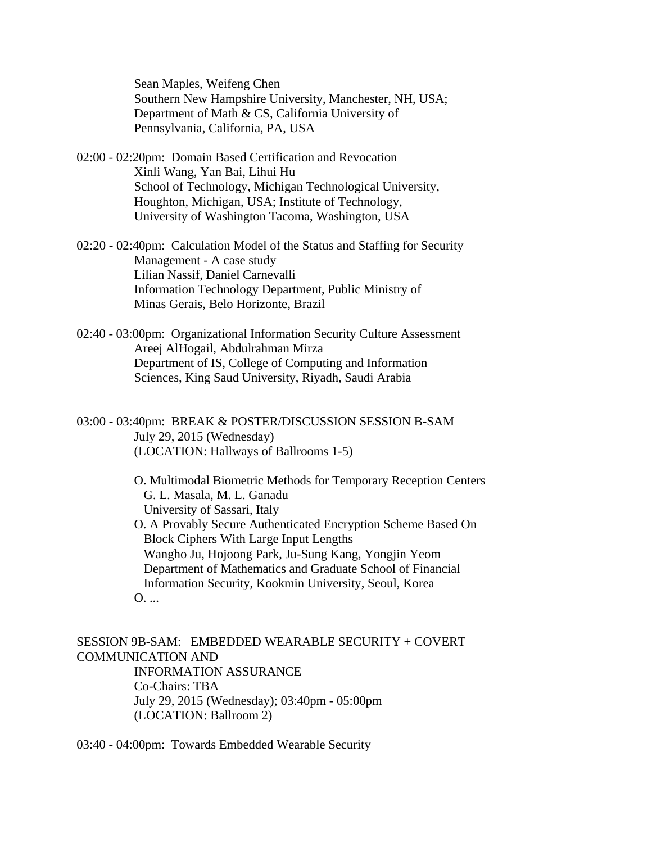Sean Maples, Weifeng Chen Southern New Hampshire University, Manchester, NH, USA; Department of Math & CS, California University of Pennsylvania, California, PA, USA

- 02:00 02:20pm: Domain Based Certification and Revocation Xinli Wang, Yan Bai, Lihui Hu School of Technology, Michigan Technological University, Houghton, Michigan, USA; Institute of Technology, University of Washington Tacoma, Washington, USA
- 02:20 02:40pm: Calculation Model of the Status and Staffing for Security Management - A case study Lilian Nassif, Daniel Carnevalli Information Technology Department, Public Ministry of Minas Gerais, Belo Horizonte, Brazil
- 02:40 03:00pm: Organizational Information Security Culture Assessment Areej AlHogail, Abdulrahman Mirza Department of IS, College of Computing and Information Sciences, King Saud University, Riyadh, Saudi Arabia
- 03:00 03:40pm: BREAK & POSTER/DISCUSSION SESSION B-SAM July 29, 2015 (Wednesday) (LOCATION: Hallways of Ballrooms 1-5)

O. Multimodal Biometric Methods for Temporary Reception Centers G. L. Masala, M. L. Ganadu University of Sassari, Italy O. A Provably Secure Authenticated Encryption Scheme Based On Block Ciphers With Large Input Lengths Wangho Ju, Hojoong Park, Ju-Sung Kang, Yongjin Yeom Department of Mathematics and Graduate School of Financial Information Security, Kookmin University, Seoul, Korea

 $O_{\ldots}$ 

SESSION 9B-SAM: EMBEDDED WEARABLE SECURITY + COVERT COMMUNICATION AND INFORMATION ASSURANCE Co-Chairs: TBA July 29, 2015 (Wednesday); 03:40pm - 05:00pm (LOCATION: Ballroom 2)

03:40 - 04:00pm: Towards Embedded Wearable Security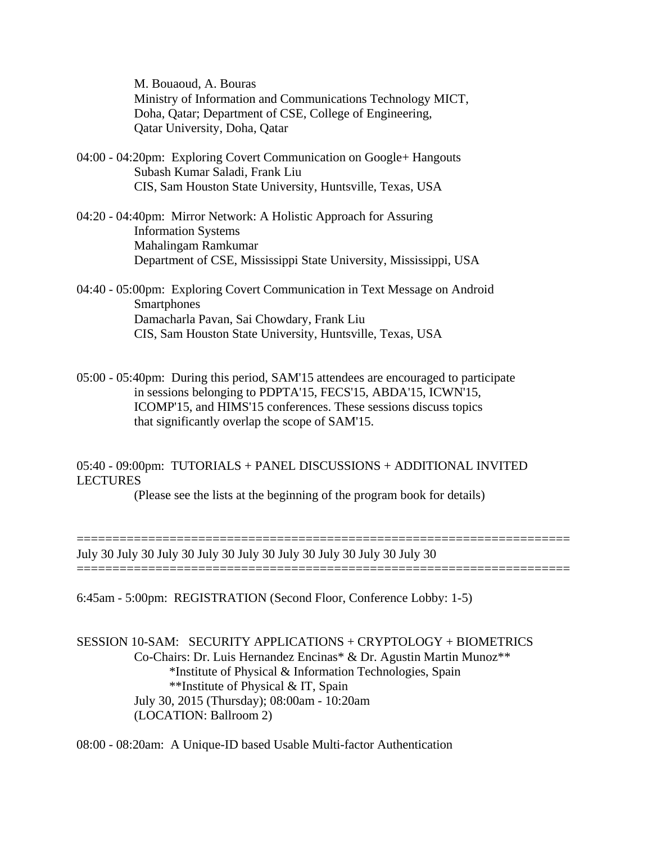M. Bouaoud, A. Bouras Ministry of Information and Communications Technology MICT, Doha, Qatar; Department of CSE, College of Engineering, Qatar University, Doha, Qatar

- 04:00 04:20pm: Exploring Covert Communication on Google+ Hangouts Subash Kumar Saladi, Frank Liu CIS, Sam Houston State University, Huntsville, Texas, USA
- 04:20 04:40pm: Mirror Network: A Holistic Approach for Assuring Information Systems Mahalingam Ramkumar Department of CSE, Mississippi State University, Mississippi, USA
- 04:40 05:00pm: Exploring Covert Communication in Text Message on Android **Smartphones** Damacharla Pavan, Sai Chowdary, Frank Liu CIS, Sam Houston State University, Huntsville, Texas, USA
- 05:00 05:40pm: During this period, SAM'15 attendees are encouraged to participate in sessions belonging to PDPTA'15, FECS'15, ABDA'15, ICWN'15, ICOMP'15, and HIMS'15 conferences. These sessions discuss topics that significantly overlap the scope of SAM'15.

05:40 - 09:00pm: TUTORIALS + PANEL DISCUSSIONS + ADDITIONAL INVITED LECTURES

(Please see the lists at the beginning of the program book for details)

=====================================================================

===================

July 30 July 30 July 30 July 30 July 30 July 30 July 30 July 30 July 30

6:45am - 5:00pm: REGISTRATION (Second Floor, Conference Lobby: 1-5)

SESSION 10-SAM: SECURITY APPLICATIONS + CRYPTOLOGY + BIOMETRICS Co-Chairs: Dr. Luis Hernandez Encinas\* & Dr. Agustin Martin Munoz\*\* \*Institute of Physical & Information Technologies, Spain \*\*Institute of Physical & IT, Spain July 30, 2015 (Thursday); 08:00am - 10:20am (LOCATION: Ballroom 2)

08:00 - 08:20am: A Unique-ID based Usable Multi-factor Authentication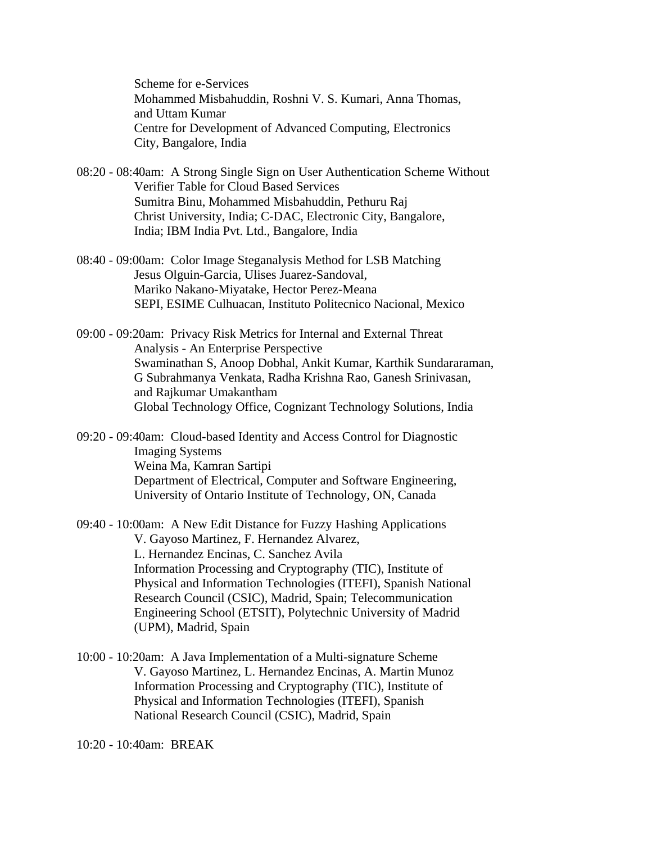Scheme for e-Services Mohammed Misbahuddin, Roshni V. S. Kumari, Anna Thomas, and Uttam Kumar Centre for Development of Advanced Computing, Electronics City, Bangalore, India

- 08:20 08:40am: A Strong Single Sign on User Authentication Scheme Without Verifier Table for Cloud Based Services Sumitra Binu, Mohammed Misbahuddin, Pethuru Raj Christ University, India; C-DAC, Electronic City, Bangalore, India; IBM India Pvt. Ltd., Bangalore, India
- 08:40 09:00am: Color Image Steganalysis Method for LSB Matching Jesus Olguin-Garcia, Ulises Juarez-Sandoval, Mariko Nakano-Miyatake, Hector Perez-Meana SEPI, ESIME Culhuacan, Instituto Politecnico Nacional, Mexico

09:00 - 09:20am: Privacy Risk Metrics for Internal and External Threat Analysis - An Enterprise Perspective Swaminathan S, Anoop Dobhal, Ankit Kumar, Karthik Sundararaman, G Subrahmanya Venkata, Radha Krishna Rao, Ganesh Srinivasan, and Rajkumar Umakantham Global Technology Office, Cognizant Technology Solutions, India

09:20 - 09:40am: Cloud-based Identity and Access Control for Diagnostic Imaging Systems Weina Ma, Kamran Sartipi Department of Electrical, Computer and Software Engineering, University of Ontario Institute of Technology, ON, Canada

09:40 - 10:00am: A New Edit Distance for Fuzzy Hashing Applications V. Gayoso Martinez, F. Hernandez Alvarez, L. Hernandez Encinas, C. Sanchez Avila Information Processing and Cryptography (TIC), Institute of Physical and Information Technologies (ITEFI), Spanish National Research Council (CSIC), Madrid, Spain; Telecommunication Engineering School (ETSIT), Polytechnic University of Madrid (UPM), Madrid, Spain

10:00 - 10:20am: A Java Implementation of a Multi-signature Scheme V. Gayoso Martinez, L. Hernandez Encinas, A. Martin Munoz Information Processing and Cryptography (TIC), Institute of Physical and Information Technologies (ITEFI), Spanish National Research Council (CSIC), Madrid, Spain

10:20 - 10:40am: BREAK